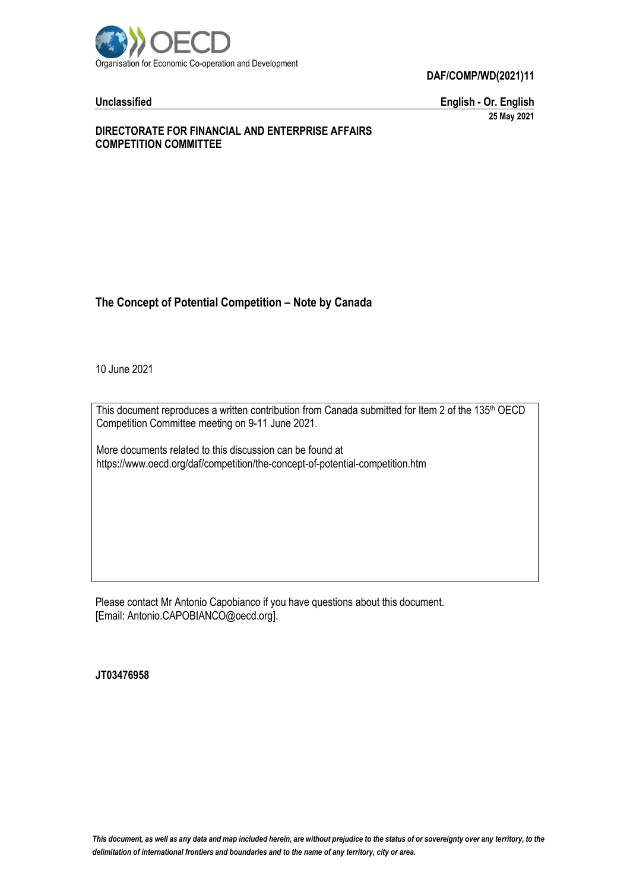

**Unclassified English - Or. English 25 May 2021**

#### **DIRECTORATE FOR FINANCIAL AND ENTERPRISE AFFAIRS COMPETITION COMMITTEE**

# **The Concept of Potential Competition – Note by Canada**

10 June 2021

This document reproduces a written contribution from Canada submitted for Item 2 of the 135<sup>th</sup> OECD Competition Committee meeting on 9-11 June 2021.

More documents related to this discussion can be found at https://www.oecd.org/daf/competition/the-concept-of-potential-competition.htm

Please contact Mr Antonio Capobianco if you have questions about this document. [Email: Antonio.CAPOBIANCO@oecd.org].

**JT03476958**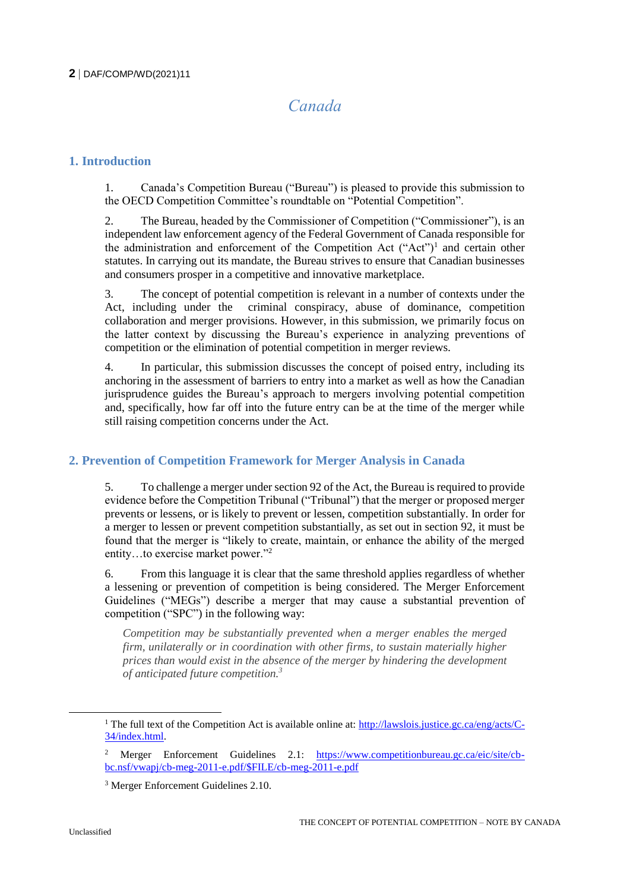# *Canada*

# **1. Introduction**

1. Canada's Competition Bureau ("Bureau") is pleased to provide this submission to the OECD Competition Committee's roundtable on "Potential Competition".

2. The Bureau, headed by the Commissioner of Competition ("Commissioner"), is an independent law enforcement agency of the Federal Government of Canada responsible for the administration and enforcement of the Competition Act  $("Act")^1$  and certain other statutes. In carrying out its mandate, the Bureau strives to ensure that Canadian businesses and consumers prosper in a competitive and innovative marketplace.

3. The concept of potential competition is relevant in a number of contexts under the Act, including under the criminal conspiracy, abuse of dominance, competition collaboration and merger provisions. However, in this submission, we primarily focus on the latter context by discussing the Bureau's experience in analyzing preventions of competition or the elimination of potential competition in merger reviews.

4. In particular, this submission discusses the concept of poised entry, including its anchoring in the assessment of barriers to entry into a market as well as how the Canadian jurisprudence guides the Bureau's approach to mergers involving potential competition and, specifically, how far off into the future entry can be at the time of the merger while still raising competition concerns under the Act.

# **2. Prevention of Competition Framework for Merger Analysis in Canada**

5. To challenge a merger under section 92 of the Act, the Bureau is required to provide evidence before the Competition Tribunal ("Tribunal") that the merger or proposed merger prevents or lessens, or is likely to prevent or lessen, competition substantially. In order for a merger to lessen or prevent competition substantially, as set out in section 92, it must be found that the merger is "likely to create, maintain, or enhance the ability of the merged entity…to exercise market power."<sup>2</sup>

6. From this language it is clear that the same threshold applies regardless of whether a lessening or prevention of competition is being considered. The Merger Enforcement Guidelines ("MEGs") describe a merger that may cause a substantial prevention of competition ("SPC") in the following way:

*Competition may be substantially prevented when a merger enables the merged firm, unilaterally or in coordination with other firms, to sustain materially higher prices than would exist in the absence of the merger by hindering the development of anticipated future competition.<sup>3</sup>*

 $\overline{a}$ 

<sup>&</sup>lt;sup>1</sup> The full text of the Competition Act is available online at: [http://lawslois.justice.gc.ca/eng/acts/C-](http://lawslois.justice.gc.ca/eng/acts/C-34/index.html)[34/index.html.](http://lawslois.justice.gc.ca/eng/acts/C-34/index.html)

<sup>2</sup> Merger Enforcement Guidelines 2.1: [https://www.competitionbureau.gc.ca/eic/site/cb](https://www.competitionbureau.gc.ca/eic/site/cb-bc.nsf/vwapj/cb-meg-2011-e.pdf/$FILE/cb-meg-2011-e.pdf)[bc.nsf/vwapj/cb-meg-2011-e.pdf/\\$FILE/cb-meg-2011-e.pdf](https://www.competitionbureau.gc.ca/eic/site/cb-bc.nsf/vwapj/cb-meg-2011-e.pdf/$FILE/cb-meg-2011-e.pdf) 

<sup>3</sup> Merger Enforcement Guidelines 2.10.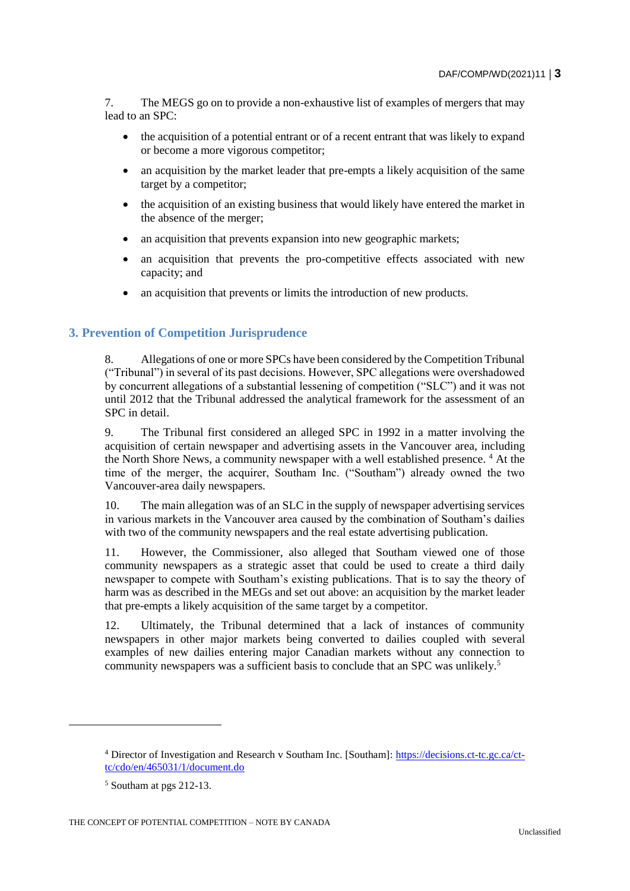7. The MEGS go on to provide a non-exhaustive list of examples of mergers that may lead to an SPC:

- the acquisition of a potential entrant or of a recent entrant that was likely to expand or become a more vigorous competitor;
- an acquisition by the market leader that pre-empts a likely acquisition of the same target by a competitor;
- the acquisition of an existing business that would likely have entered the market in the absence of the merger;
- an acquisition that prevents expansion into new geographic markets;
- an acquisition that prevents the pro-competitive effects associated with new capacity; and
- an acquisition that prevents or limits the introduction of new products.

## **3. Prevention of Competition Jurisprudence**

8. Allegations of one or more SPCs have been considered by the Competition Tribunal ("Tribunal") in several of its past decisions. However, SPC allegations were overshadowed by concurrent allegations of a substantial lessening of competition ("SLC") and it was not until 2012 that the Tribunal addressed the analytical framework for the assessment of an SPC in detail.

9. The Tribunal first considered an alleged SPC in 1992 in a matter involving the acquisition of certain newspaper and advertising assets in the Vancouver area, including the North Shore News, a community newspaper with a well established presence. <sup>4</sup> At the time of the merger, the acquirer, Southam Inc. ("Southam") already owned the two Vancouver-area daily newspapers.

10. The main allegation was of an SLC in the supply of newspaper advertising services in various markets in the Vancouver area caused by the combination of Southam's dailies with two of the community newspapers and the real estate advertising publication.

11. However, the Commissioner, also alleged that Southam viewed one of those community newspapers as a strategic asset that could be used to create a third daily newspaper to compete with Southam's existing publications. That is to say the theory of harm was as described in the MEGs and set out above: an acquisition by the market leader that pre-empts a likely acquisition of the same target by a competitor.

12. Ultimately, the Tribunal determined that a lack of instances of community newspapers in other major markets being converted to dailies coupled with several examples of new dailies entering major Canadian markets without any connection to community newspapers was a sufficient basis to conclude that an SPC was unlikely.<sup>5</sup>

<sup>4</sup> Director of Investigation and Research v Southam Inc. [Southam]: [https://decisions.ct-tc.gc.ca/ct](https://decisions.ct-tc.gc.ca/ct-tc/cdo/en/465031/1/document.do)[tc/cdo/en/465031/1/document.do](https://decisions.ct-tc.gc.ca/ct-tc/cdo/en/465031/1/document.do)

<sup>5</sup> Southam at pgs 212-13.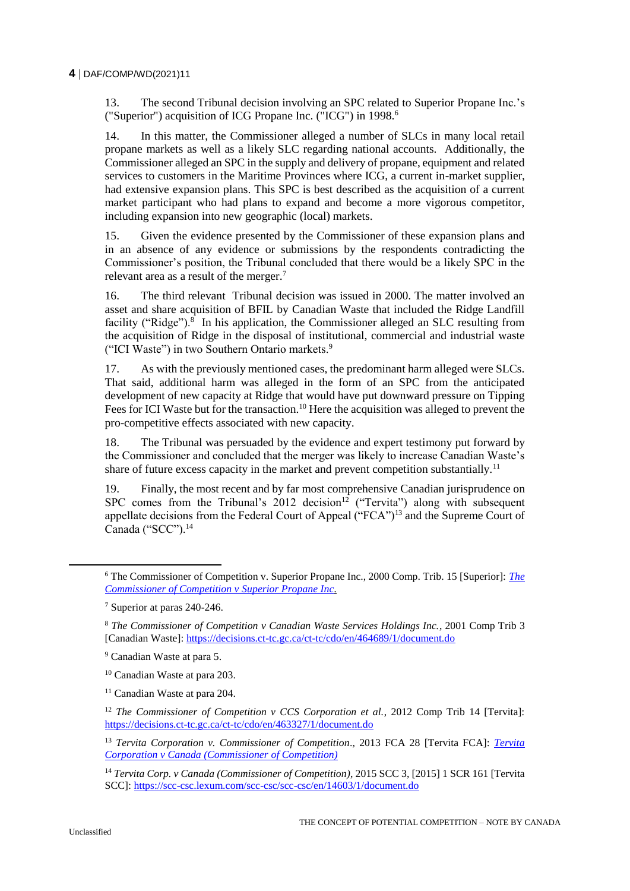13. The second Tribunal decision involving an SPC related to Superior Propane Inc.'s ("Superior") acquisition of ICG Propane Inc. ("ICG") in 1998.<sup>6</sup>

14. In this matter, the Commissioner alleged a number of SLCs in many local retail propane markets as well as a likely SLC regarding national accounts. Additionally, the Commissioner alleged an SPC in the supply and delivery of propane, equipment and related services to customers in the Maritime Provinces where ICG, a current in-market supplier, had extensive expansion plans. This SPC is best described as the acquisition of a current market participant who had plans to expand and become a more vigorous competitor, including expansion into new geographic (local) markets.

15. Given the evidence presented by the Commissioner of these expansion plans and in an absence of any evidence or submissions by the respondents contradicting the Commissioner's position, the Tribunal concluded that there would be a likely SPC in the relevant area as a result of the merger.<sup>7</sup>

16. The third relevant Tribunal decision was issued in 2000. The matter involved an asset and share acquisition of BFIL by Canadian Waste that included the Ridge Landfill facility ("Ridge").<sup>8</sup> In his application, the Commissioner alleged an SLC resulting from the acquisition of Ridge in the disposal of institutional, commercial and industrial waste ("ICI Waste") in two Southern Ontario markets.<sup>9</sup>

17. As with the previously mentioned cases, the predominant harm alleged were SLCs. That said, additional harm was alleged in the form of an SPC from the anticipated development of new capacity at Ridge that would have put downward pressure on Tipping Fees for ICI Waste but for the transaction.<sup>10</sup> Here the acquisition was alleged to prevent the pro-competitive effects associated with new capacity.

18. The Tribunal was persuaded by the evidence and expert testimony put forward by the Commissioner and concluded that the merger was likely to increase Canadian Waste's share of future excess capacity in the market and prevent competition substantially.<sup>11</sup>

19. Finally, the most recent and by far most comprehensive Canadian jurisprudence on SPC comes from the Tribunal's  $2012$  decision<sup>12</sup> ("Tervita") along with subsequent appellate decisions from the Federal Court of Appeal ("FCA")<sup>13</sup> and the Supreme Court of Canada ("SCC").<sup>14</sup>

<sup>6</sup> The Commissioner of Competition v. Superior Propane Inc., 2000 Comp. Trib. 15 [Superior]: *[The](https://decisions.ct-tc.gc.ca/ct-tc/cdo/en/item/464664/index.do)  [Commissioner of Competition v Superior Propane Inc.](https://decisions.ct-tc.gc.ca/ct-tc/cdo/en/item/464664/index.do)*

<sup>7</sup> Superior at paras 240-246.

<sup>8</sup> *The Commissioner of Competition v Canadian Waste Services Holdings Inc.*, 2001 Comp Trib 3 [Canadian Waste]:<https://decisions.ct-tc.gc.ca/ct-tc/cdo/en/464689/1/document.do>

<sup>9</sup> Canadian Waste at para 5.

<sup>10</sup> Canadian Waste at para 203.

<sup>&</sup>lt;sup>11</sup> Canadian Waste at para 204.

<sup>&</sup>lt;sup>12</sup> *The Commissioner of Competition v CCS Corporation et al.*, 2012 Comp Trib 14 [Tervita]: <https://decisions.ct-tc.gc.ca/ct-tc/cdo/en/463327/1/document.do>

<sup>13</sup> *Tervita Corporation v. Commissioner of Competition*., 2013 FCA 28 [Tervita FCA]: *[Tervita](https://decisions.fca-caf.gc.ca/fca-caf/decisions/en/item/37716/index.do?q=tervita)  [Corporation v Canada \(Commissioner of Competition\)](https://decisions.fca-caf.gc.ca/fca-caf/decisions/en/item/37716/index.do?q=tervita)*

<sup>14</sup> *Tervita Corp. v Canada (Commissioner of Competition)*, 2015 SCC 3, [2015] 1 SCR 161 [Tervita SCC][: https://scc-csc.lexum.com/scc-csc/scc-csc/en/14603/1/document.do](https://scc-csc.lexum.com/scc-csc/scc-csc/en/14603/1/document.do)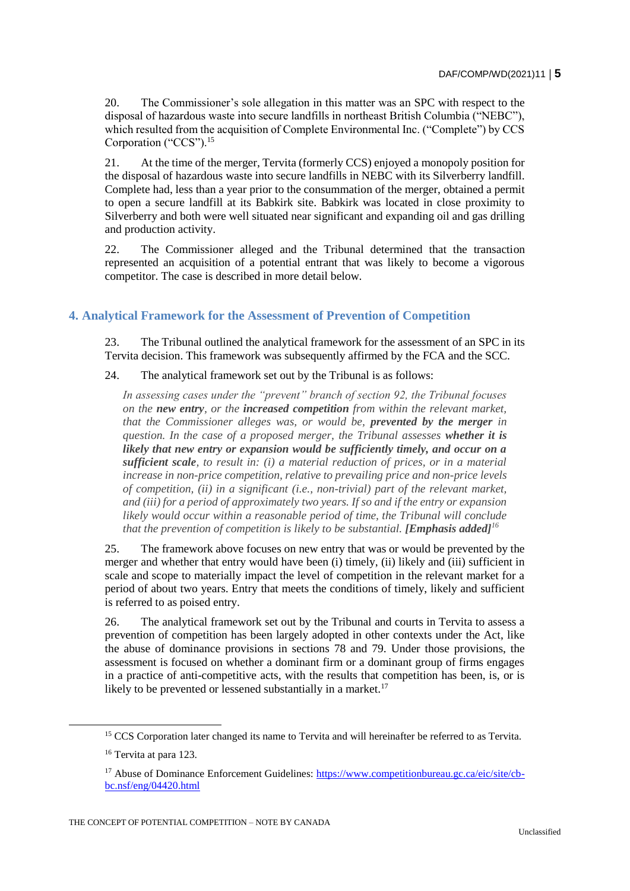20. The Commissioner's sole allegation in this matter was an SPC with respect to the disposal of hazardous waste into secure landfills in northeast British Columbia ("NEBC"), which resulted from the acquisition of Complete Environmental Inc. ("Complete") by CCS Corporation ("CCS").<sup>15</sup>

21. At the time of the merger, Tervita (formerly CCS) enjoyed a monopoly position for the disposal of hazardous waste into secure landfills in NEBC with its Silverberry landfill. Complete had, less than a year prior to the consummation of the merger, obtained a permit to open a secure landfill at its Babkirk site. Babkirk was located in close proximity to Silverberry and both were well situated near significant and expanding oil and gas drilling and production activity.

22. The Commissioner alleged and the Tribunal determined that the transaction represented an acquisition of a potential entrant that was likely to become a vigorous competitor. The case is described in more detail below.

# **4. Analytical Framework for the Assessment of Prevention of Competition**

23. The Tribunal outlined the analytical framework for the assessment of an SPC in its Tervita decision. This framework was subsequently affirmed by the FCA and the SCC.

24. The analytical framework set out by the Tribunal is as follows:

*In assessing cases under the "prevent" branch of section 92, the Tribunal focuses on the new entry, or the increased competition from within the relevant market, that the Commissioner alleges was, or would be, prevented by the merger in question. In the case of a proposed merger, the Tribunal assesses whether it is likely that new entry or expansion would be sufficiently timely, and occur on a sufficient scale, to result in: (i) a material reduction of prices, or in a material increase in non-price competition, relative to prevailing price and non-price levels of competition, (ii) in a significant (i.e., non-trivial) part of the relevant market, and (iii) for a period of approximately two years. If so and if the entry or expansion likely would occur within a reasonable period of time, the Tribunal will conclude that the prevention of competition is likely to be substantial. [Emphasis added]<sup>16</sup>* 

25. The framework above focuses on new entry that was or would be prevented by the merger and whether that entry would have been (i) timely, (ii) likely and (iii) sufficient in scale and scope to materially impact the level of competition in the relevant market for a period of about two years. Entry that meets the conditions of timely, likely and sufficient is referred to as poised entry.

26. The analytical framework set out by the Tribunal and courts in Tervita to assess a prevention of competition has been largely adopted in other contexts under the Act, like the abuse of dominance provisions in sections 78 and 79. Under those provisions, the assessment is focused on whether a dominant firm or a dominant group of firms engages in a practice of anti-competitive acts, with the results that competition has been, is, or is likely to be prevented or lessened substantially in a market.<sup>17</sup>

<sup>&</sup>lt;sup>15</sup> CCS Corporation later changed its name to Tervita and will hereinafter be referred to as Tervita.

<sup>&</sup>lt;sup>16</sup> Tervita at para 123.

<sup>&</sup>lt;sup>17</sup> Abuse of Dominance Enforcement Guidelines: [https://www.competitionbureau.gc.ca/eic/site/cb](https://www.competitionbureau.gc.ca/eic/site/cb-bc.nsf/eng/04420.html)[bc.nsf/eng/04420.html](https://www.competitionbureau.gc.ca/eic/site/cb-bc.nsf/eng/04420.html)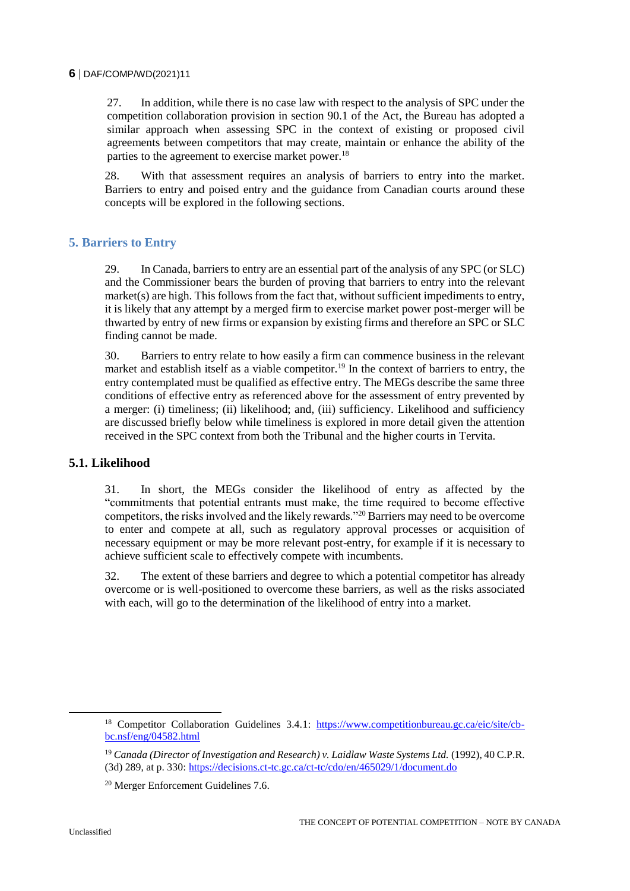27. In addition, while there is no case law with respect to the analysis of SPC under the competition collaboration provision in section 90.1 of the Act, the Bureau has adopted a similar approach when assessing SPC in the context of existing or proposed civil agreements between competitors that may create, maintain or enhance the ability of the parties to the agreement to exercise market power.<sup>18</sup>

28. With that assessment requires an analysis of barriers to entry into the market. Barriers to entry and poised entry and the guidance from Canadian courts around these concepts will be explored in the following sections.

# **5. Barriers to Entry**

29. In Canada, barriers to entry are an essential part of the analysis of any SPC (or SLC) and the Commissioner bears the burden of proving that barriers to entry into the relevant market(s) are high. This follows from the fact that, without sufficient impediments to entry, it is likely that any attempt by a merged firm to exercise market power post-merger will be thwarted by entry of new firms or expansion by existing firms and therefore an SPC or SLC finding cannot be made.

30. Barriers to entry relate to how easily a firm can commence business in the relevant market and establish itself as a viable competitor.<sup>19</sup> In the context of barriers to entry, the entry contemplated must be qualified as effective entry. The MEGs describe the same three conditions of effective entry as referenced above for the assessment of entry prevented by a merger: (i) timeliness; (ii) likelihood; and, (iii) sufficiency. Likelihood and sufficiency are discussed briefly below while timeliness is explored in more detail given the attention received in the SPC context from both the Tribunal and the higher courts in Tervita.

## **5.1. Likelihood**

31. In short, the MEGs consider the likelihood of entry as affected by the "commitments that potential entrants must make, the time required to become effective competitors, the risks involved and the likely rewards."<sup>20</sup> Barriers may need to be overcome to enter and compete at all, such as regulatory approval processes or acquisition of necessary equipment or may be more relevant post-entry, for example if it is necessary to achieve sufficient scale to effectively compete with incumbents.

32. The extent of these barriers and degree to which a potential competitor has already overcome or is well-positioned to overcome these barriers, as well as the risks associated with each, will go to the determination of the likelihood of entry into a market.

 $\overline{a}$ 

<sup>&</sup>lt;sup>18</sup> Competitor Collaboration Guidelines 3.4.1: [https://www.competitionbureau.gc.ca/eic/site/cb](https://www.competitionbureau.gc.ca/eic/site/cb-bc.nsf/eng/04582.html)[bc.nsf/eng/04582.html](https://www.competitionbureau.gc.ca/eic/site/cb-bc.nsf/eng/04582.html)

<sup>19</sup> *Canada (Director of Investigation and Research) v. Laidlaw Waste Systems Ltd.* (1992), 40 C.P.R. (3d) 289, at p. 330:<https://decisions.ct-tc.gc.ca/ct-tc/cdo/en/465029/1/document.do>

<sup>20</sup> Merger Enforcement Guidelines 7.6.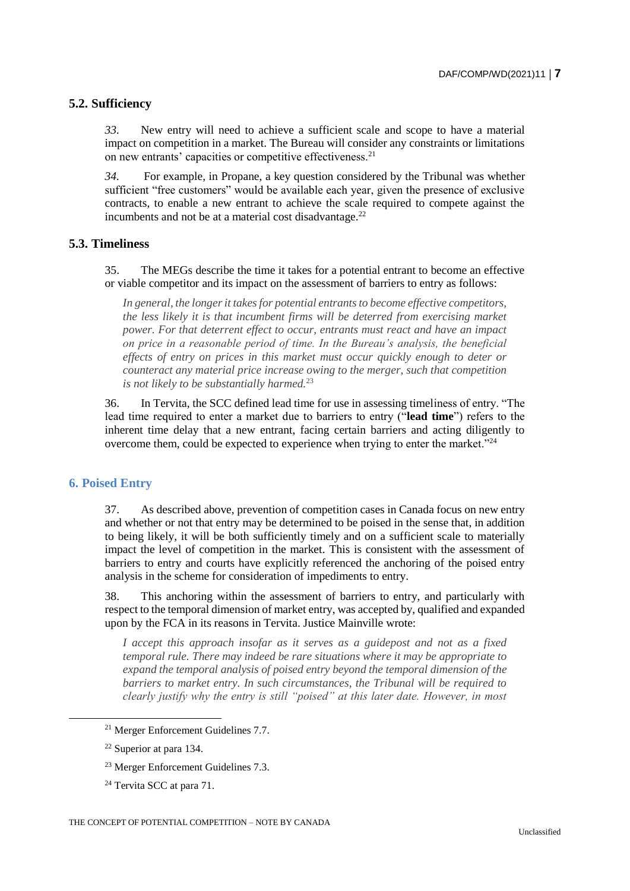# **5.2. Sufficiency**

*33.* New entry will need to achieve a sufficient scale and scope to have a material impact on competition in a market. The Bureau will consider any constraints or limitations on new entrants' capacities or competitive effectiveness.<sup>21</sup>

*34.* For example, in Propane, a key question considered by the Tribunal was whether sufficient "free customers" would be available each year, given the presence of exclusive contracts, to enable a new entrant to achieve the scale required to compete against the incumbents and not be at a material cost disadvantage. $^{22}$ 

# **5.3. Timeliness**

35. The MEGs describe the time it takes for a potential entrant to become an effective or viable competitor and its impact on the assessment of barriers to entry as follows:

*In general, the longer it takes for potential entrants to become effective competitors, the less likely it is that incumbent firms will be deterred from exercising market power. For that deterrent effect to occur, entrants must react and have an impact on price in a reasonable period of time. In the Bureau's analysis, the beneficial effects of entry on prices in this market must occur quickly enough to deter or counteract any material price increase owing to the merger, such that competition is not likely to be substantially harmed.*<sup>23</sup>

36. In Tervita, the SCC defined lead time for use in assessing timeliness of entry. "The lead time required to enter a market due to barriers to entry ("**lead time**") refers to the inherent time delay that a new entrant, facing certain barriers and acting diligently to overcome them, could be expected to experience when trying to enter the market."<sup>24</sup>

#### **6. Poised Entry**

37. As described above, prevention of competition cases in Canada focus on new entry and whether or not that entry may be determined to be poised in the sense that, in addition to being likely, it will be both sufficiently timely and on a sufficient scale to materially impact the level of competition in the market. This is consistent with the assessment of barriers to entry and courts have explicitly referenced the anchoring of the poised entry analysis in the scheme for consideration of impediments to entry.

38. This anchoring within the assessment of barriers to entry, and particularly with respect to the temporal dimension of market entry, was accepted by, qualified and expanded upon by the FCA in its reasons in Tervita. Justice Mainville wrote:

*I accept this approach insofar as it serves as a guidepost and not as a fixed temporal rule. There may indeed be rare situations where it may be appropriate to expand the temporal analysis of poised entry beyond the temporal dimension of the barriers to market entry. In such circumstances, the Tribunal will be required to clearly justify why the entry is still "poised" at this later date. However, in most* 

<sup>21</sup> Merger Enforcement Guidelines 7.7.

<sup>22</sup> Superior at para 134.

<sup>23</sup> Merger Enforcement Guidelines 7.3.

<sup>&</sup>lt;sup>24</sup> Tervita SCC at para 71.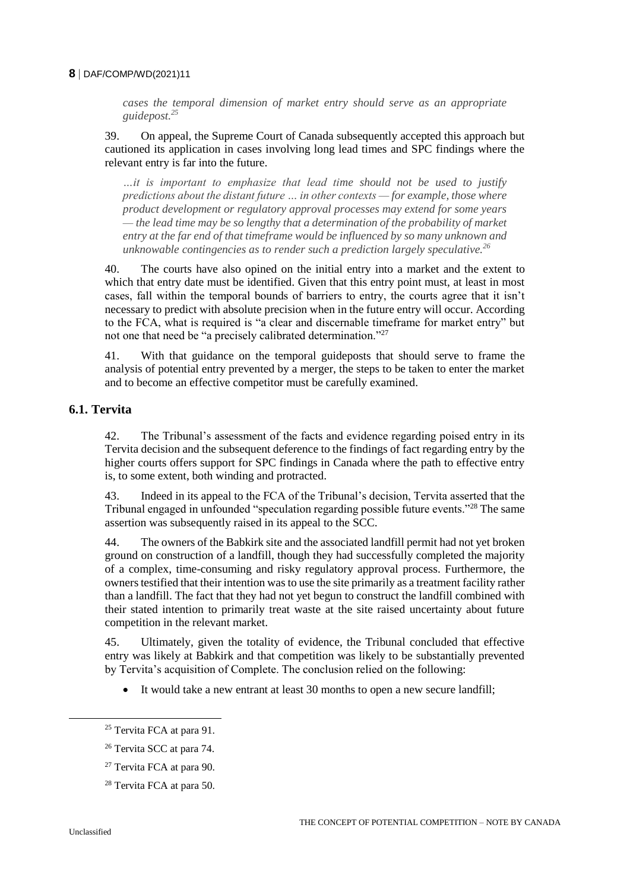*cases the temporal dimension of market entry should serve as an appropriate guidepost.<sup>25</sup>*

39. On appeal, the Supreme Court of Canada subsequently accepted this approach but cautioned its application in cases involving long lead times and SPC findings where the relevant entry is far into the future.

*…it is important to emphasize that lead time should not be used to justify predictions about the distant future … in other contexts — for example, those where product development or regulatory approval processes may extend for some years — the lead time may be so lengthy that a determination of the probability of market entry at the far end of that timeframe would be influenced by so many unknown and unknowable contingencies as to render such a prediction largely speculative.<sup>26</sup>*

40. The courts have also opined on the initial entry into a market and the extent to which that entry date must be identified. Given that this entry point must, at least in most cases, fall within the temporal bounds of barriers to entry, the courts agree that it isn't necessary to predict with absolute precision when in the future entry will occur. According to the FCA, what is required is "a clear and discernable timeframe for market entry" but not one that need be "a precisely calibrated determination."<sup>27</sup>

41. With that guidance on the temporal guideposts that should serve to frame the analysis of potential entry prevented by a merger, the steps to be taken to enter the market and to become an effective competitor must be carefully examined.

#### **6.1. Tervita**

42. The Tribunal's assessment of the facts and evidence regarding poised entry in its Tervita decision and the subsequent deference to the findings of fact regarding entry by the higher courts offers support for SPC findings in Canada where the path to effective entry is, to some extent, both winding and protracted.

43. Indeed in its appeal to the FCA of the Tribunal's decision, Tervita asserted that the Tribunal engaged in unfounded "speculation regarding possible future events."<sup>28</sup> The same assertion was subsequently raised in its appeal to the SCC.

44. The owners of the Babkirk site and the associated landfill permit had not yet broken ground on construction of a landfill, though they had successfully completed the majority of a complex, time-consuming and risky regulatory approval process. Furthermore, the owners testified that their intention was to use the site primarily as a treatment facility rather than a landfill. The fact that they had not yet begun to construct the landfill combined with their stated intention to primarily treat waste at the site raised uncertainty about future competition in the relevant market.

45. Ultimately, given the totality of evidence, the Tribunal concluded that effective entry was likely at Babkirk and that competition was likely to be substantially prevented by Tervita's acquisition of Complete. The conclusion relied on the following:

It would take a new entrant at least 30 months to open a new secure landfill;

<sup>&</sup>lt;sup>25</sup> Tervita FCA at para 91.

<sup>26</sup> Tervita SCC at para 74.

<sup>27</sup> Tervita FCA at para 90.

<sup>&</sup>lt;sup>28</sup> Tervita FCA at para 50.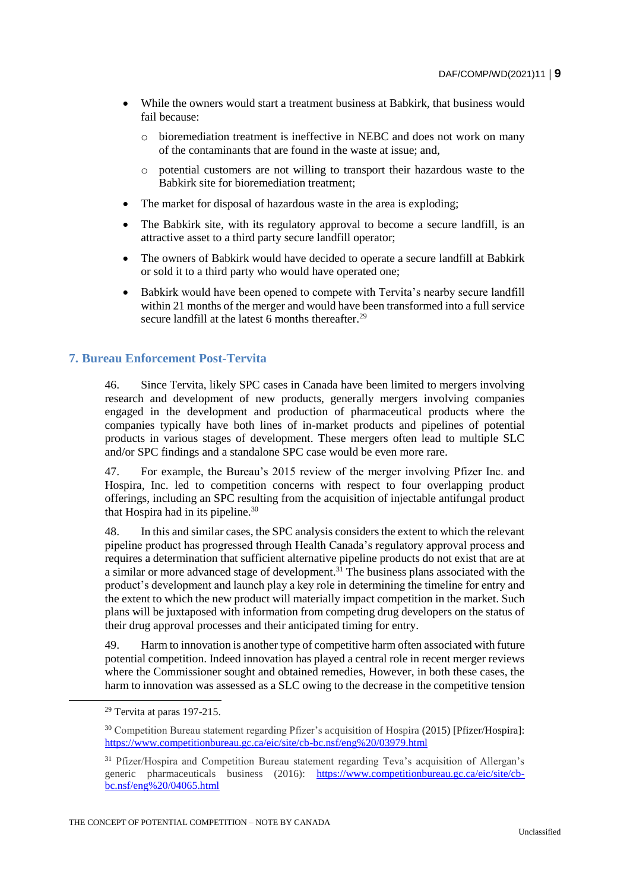- While the owners would start a treatment business at Babkirk, that business would fail because:
	- o bioremediation treatment is ineffective in NEBC and does not work on many of the contaminants that are found in the waste at issue; and,
	- o potential customers are not willing to transport their hazardous waste to the Babkirk site for bioremediation treatment;
- The market for disposal of hazardous waste in the area is exploding;
- The Babkirk site, with its regulatory approval to become a secure landfill, is an attractive asset to a third party secure landfill operator;
- The owners of Babkirk would have decided to operate a secure landfill at Babkirk or sold it to a third party who would have operated one;
- Babkirk would have been opened to compete with Tervita's nearby secure landfill within 21 months of the merger and would have been transformed into a full service secure landfill at the latest  $6$  months thereafter.<sup>29</sup>

#### **7. Bureau Enforcement Post-Tervita**

46. Since Tervita, likely SPC cases in Canada have been limited to mergers involving research and development of new products, generally mergers involving companies engaged in the development and production of pharmaceutical products where the companies typically have both lines of in-market products and pipelines of potential products in various stages of development. These mergers often lead to multiple SLC and/or SPC findings and a standalone SPC case would be even more rare.

47. For example, the Bureau's 2015 review of the merger involving Pfizer Inc. and Hospira, Inc. led to competition concerns with respect to four overlapping product offerings, including an SPC resulting from the acquisition of injectable antifungal product that Hospira had in its pipeline.<sup>30</sup>

48. In this and similar cases, the SPC analysis considers the extent to which the relevant pipeline product has progressed through Health Canada's regulatory approval process and requires a determination that sufficient alternative pipeline products do not exist that are at a similar or more advanced stage of development.<sup>31</sup> The business plans associated with the product's development and launch play a key role in determining the timeline for entry and the extent to which the new product will materially impact competition in the market. Such plans will be juxtaposed with information from competing drug developers on the status of their drug approval processes and their anticipated timing for entry.

49. Harm to innovation is another type of competitive harm often associated with future potential competition. Indeed innovation has played a central role in recent merger reviews where the Commissioner sought and obtained remedies, However, in both these cases, the harm to innovation was assessed as a SLC owing to the decrease in the competitive tension

 $\overline{a}$ 

<sup>29</sup> Tervita at paras 197-215.

<sup>30</sup> Competition Bureau statement regarding Pfizer's acquisition of Hospira (2015) [Pfizer/Hospira]: <https://www.competitionbureau.gc.ca/eic/site/cb-bc.nsf/eng%20/03979.html>

<sup>&</sup>lt;sup>31</sup> Pfizer/Hospira and Competition Bureau statement regarding Teva's acquisition of Allergan's generic pharmaceuticals business (2016): [https://www.competitionbureau.gc.ca/eic/site/cb](https://www.competitionbureau.gc.ca/eic/site/cb-bc.nsf/eng%20/04065.html)[bc.nsf/eng%20/04065.html](https://www.competitionbureau.gc.ca/eic/site/cb-bc.nsf/eng%20/04065.html)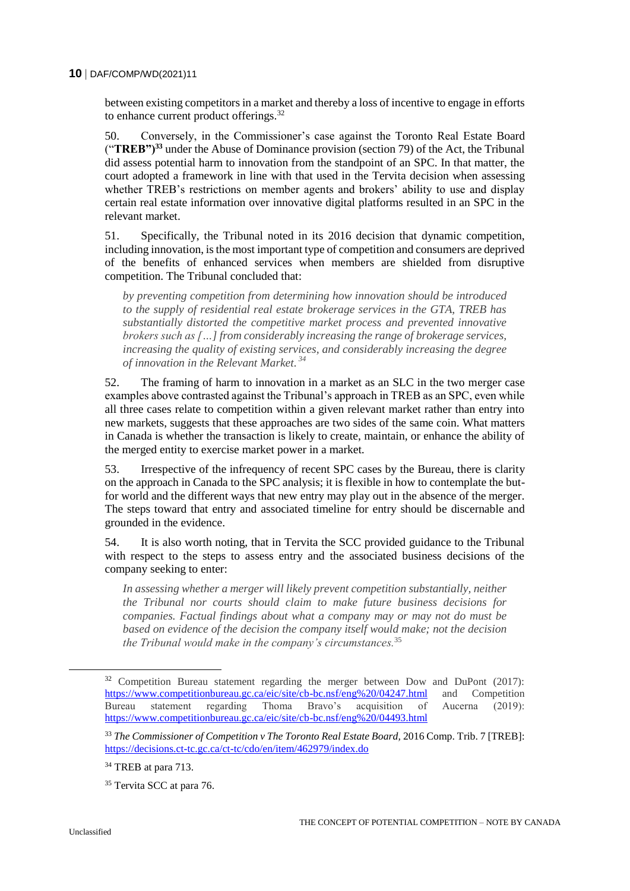between existing competitors in a market and thereby a loss of incentive to engage in efforts to enhance current product offerings.<sup>32</sup>

50. Conversely, in the Commissioner's case against the Toronto Real Estate Board ("**TREB")<sup>33</sup>** under the Abuse of Dominance provision (section 79) of the Act, the Tribunal did assess potential harm to innovation from the standpoint of an SPC. In that matter, the court adopted a framework in line with that used in the Tervita decision when assessing whether TREB's restrictions on member agents and brokers' ability to use and display certain real estate information over innovative digital platforms resulted in an SPC in the relevant market.

51. Specifically, the Tribunal noted in its 2016 decision that dynamic competition, including innovation, is the most important type of competition and consumers are deprived of the benefits of enhanced services when members are shielded from disruptive competition. The Tribunal concluded that:

*by preventing competition from determining how innovation should be introduced to the supply of residential real estate brokerage services in the GTA, TREB has substantially distorted the competitive market process and prevented innovative brokers such as […] from considerably increasing the range of brokerage services, increasing the quality of existing services, and considerably increasing the degree of innovation in the Relevant Market. <sup>34</sup>*

52. The framing of harm to innovation in a market as an SLC in the two merger case examples above contrasted against the Tribunal's approach in TREB as an SPC, even while all three cases relate to competition within a given relevant market rather than entry into new markets, suggests that these approaches are two sides of the same coin. What matters in Canada is whether the transaction is likely to create, maintain, or enhance the ability of the merged entity to exercise market power in a market.

53. Irrespective of the infrequency of recent SPC cases by the Bureau, there is clarity on the approach in Canada to the SPC analysis; it is flexible in how to contemplate the butfor world and the different ways that new entry may play out in the absence of the merger. The steps toward that entry and associated timeline for entry should be discernable and grounded in the evidence.

54. It is also worth noting, that in Tervita the SCC provided guidance to the Tribunal with respect to the steps to assess entry and the associated business decisions of the company seeking to enter:

*In assessing whether a merger will likely prevent competition substantially, neither the Tribunal nor courts should claim to make future business decisions for companies. Factual findings about what a company may or may not do must be based on evidence of the decision the company itself would make; not the decision the Tribunal would make in the company's circumstances.*<sup>35</sup>

<sup>&</sup>lt;sup>32</sup> Competition Bureau statement regarding the merger between Dow and DuPont (2017): <https://www.competitionbureau.gc.ca/eic/site/cb-bc.nsf/eng%20/04247.html> and Competition Bureau statement regarding Thoma Bravo's acquisition of Aucerna (2019): <https://www.competitionbureau.gc.ca/eic/site/cb-bc.nsf/eng%20/04493.html>

<sup>33</sup> *The Commissioner of Competition v The Toronto Real Estate Board,* 2016 Comp. Trib. 7 [TREB]: <https://decisions.ct-tc.gc.ca/ct-tc/cdo/en/item/462979/index.do>

<sup>&</sup>lt;sup>34</sup> TREB at para 713.

<sup>&</sup>lt;sup>35</sup> Tervita SCC at para 76.